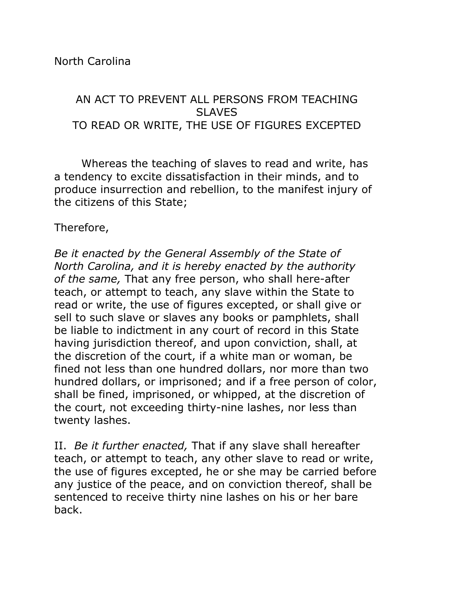AN ACT TO PREVENT ALL PERSONS FROM TEACHING **SLAVES** TO READ OR WRITE, THE USE OF FIGURES EXCEPTED

Whereas the teaching of slaves to read and write, has a tendency to excite dissatisfaction in their minds, and to produce insurrection and rebellion, to the manifest injury of the citizens of this State;

## Therefore,

*Be it enacted by the General Assembly of the State of North Carolina, and it is hereby enacted by the authority of the same,* That any free person, who shall here-after teach, or attempt to teach, any slave within the State to read or write, the use of figures excepted, or shall give or sell to such slave or slaves any books or pamphlets, shall be liable to indictment in any court of record in this State having jurisdiction thereof, and upon conviction, shall, at the discretion of the court, if a white man or woman, be fined not less than one hundred dollars, nor more than two hundred dollars, or imprisoned; and if a free person of color, shall be fined, imprisoned, or whipped, at the discretion of the court, not exceeding thirty-nine lashes, nor less than twenty lashes.

II. *Be it further enacted,* That if any slave shall hereafter teach, or attempt to teach, any other slave to read or write, the use of figures excepted, he or she may be carried before any justice of the peace, and on conviction thereof, shall be sentenced to receive thirty nine lashes on his or her bare back.